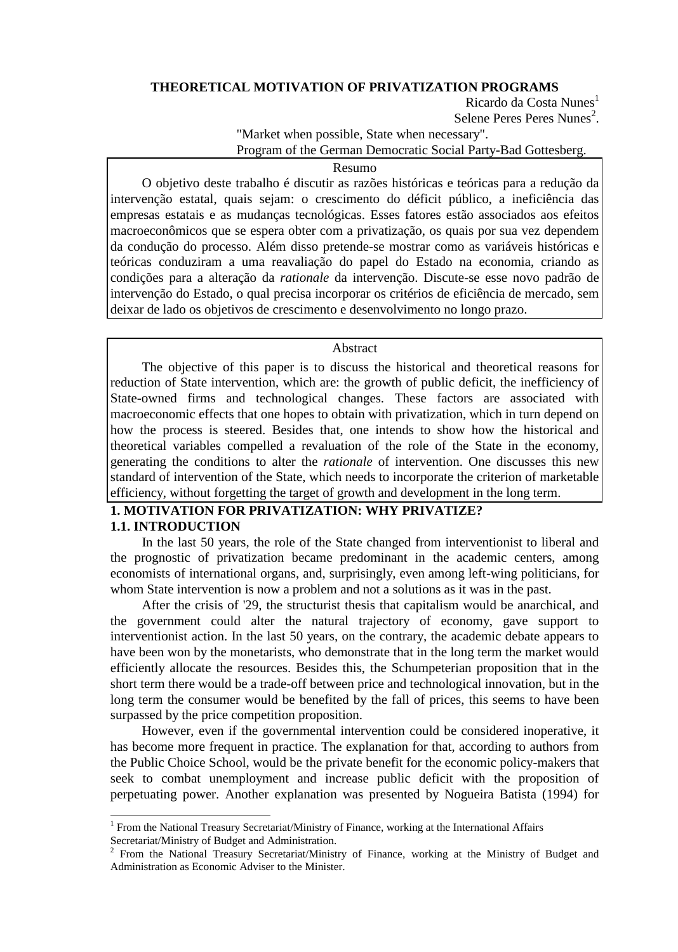## **THEORETICAL MOTIVATION OF PRIVATIZATION PROGRAMS**

Ricardo da Costa Nunes<sup>1</sup> Selene Peres Peres Nunes<sup>2</sup>.

"Market when possible, State when necessary".

Program of the German Democratic Social Party-Bad Gottesberg.

## Resumo

O objetivo deste trabalho é discutir as razões históricas e teóricas para a redução da intervenção estatal, quais sejam: o crescimento do déficit público, a ineficiência das empresas estatais e as mudanças tecnológicas. Esses fatores estão associados aos efeitos macroeconômicos que se espera obter com a privatização, os quais por sua vez dependem da condução do processo. Além disso pretende-se mostrar como as variáveis históricas e teóricas conduziram a uma reavaliação do papel do Estado na economia, criando as condições para a alteração da *rationale* da intervenção. Discute-se esse novo padrão de intervenção do Estado, o qual precisa incorporar os critérios de eficiência de mercado, sem deixar de lado os objetivos de crescimento e desenvolvimento no longo prazo.

#### Abstract

The objective of this paper is to discuss the historical and theoretical reasons for reduction of State intervention, which are: the growth of public deficit, the inefficiency of State-owned firms and technological changes. These factors are associated with macroeconomic effects that one hopes to obtain with privatization, which in turn depend on how the process is steered. Besides that, one intends to show how the historical and theoretical variables compelled a revaluation of the role of the State in the economy, generating the conditions to alter the *rationale* of intervention. One discusses this new standard of intervention of the State, which needs to incorporate the criterion of marketable efficiency, without forgetting the target of growth and development in the long term.

# **1. MOTIVATION FOR PRIVATIZATION: WHY PRIVATIZE? 1.1. INTRODUCTION**

In the last 50 years, the role of the State changed from interventionist to liberal and the prognostic of privatization became predominant in the academic centers, among economists of international organs, and, surprisingly, even among left-wing politicians, for whom State intervention is now a problem and not a solutions as it was in the past.

After the crisis of '29, the structurist thesis that capitalism would be anarchical, and the government could alter the natural trajectory of economy, gave support to interventionist action. In the last 50 years, on the contrary, the academic debate appears to have been won by the monetarists, who demonstrate that in the long term the market would efficiently allocate the resources. Besides this, the Schumpeterian proposition that in the short term there would be a trade-off between price and technological innovation, but in the long term the consumer would be benefited by the fall of prices, this seems to have been surpassed by the price competition proposition.

However, even if the governmental intervention could be considered inoperative, it has become more frequent in practice. The explanation for that, according to authors from the Public Choice School, would be the private benefit for the economic policy-makers that seek to combat unemployment and increase public deficit with the proposition of perpetuating power. Another explanation was presented by Nogueira Batista (1994) for

l

<sup>&</sup>lt;sup>1</sup> From the National Treasury Secretariat/Ministry of Finance, working at the International Affairs Secretariat/Ministry of Budget and Administration.

<sup>2</sup> From the National Treasury Secretariat/Ministry of Finance, working at the Ministry of Budget and Administration as Economic Adviser to the Minister.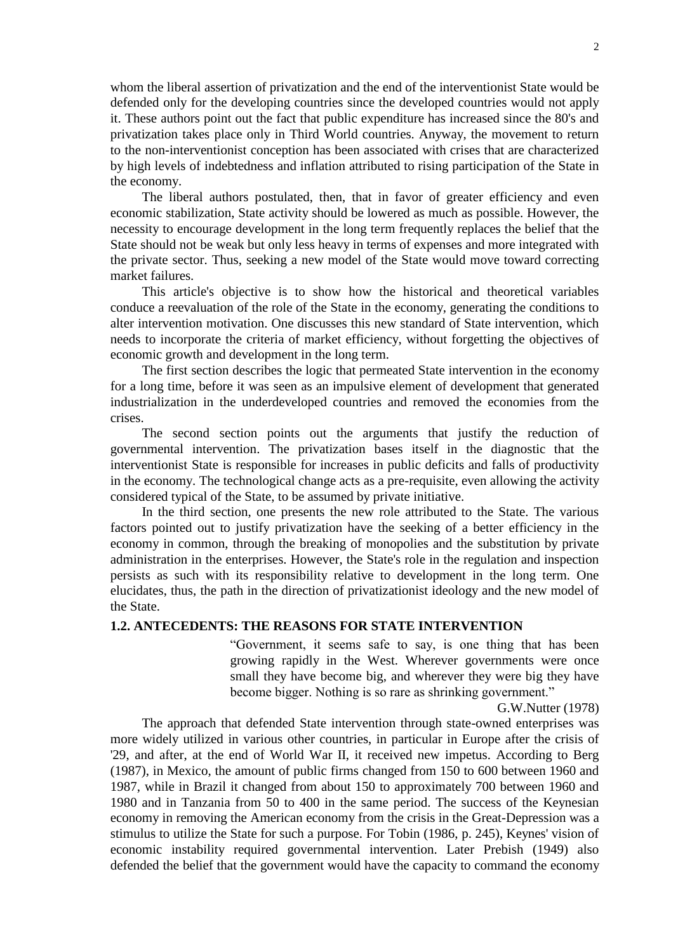whom the liberal assertion of privatization and the end of the interventionist State would be defended only for the developing countries since the developed countries would not apply it. These authors point out the fact that public expenditure has increased since the 80's and privatization takes place only in Third World countries. Anyway, the movement to return to the non-interventionist conception has been associated with crises that are characterized by high levels of indebtedness and inflation attributed to rising participation of the State in the economy.

The liberal authors postulated, then, that in favor of greater efficiency and even economic stabilization, State activity should be lowered as much as possible. However, the necessity to encourage development in the long term frequently replaces the belief that the State should not be weak but only less heavy in terms of expenses and more integrated with the private sector. Thus, seeking a new model of the State would move toward correcting market failures.

This article's objective is to show how the historical and theoretical variables conduce a reevaluation of the role of the State in the economy, generating the conditions to alter intervention motivation. One discusses this new standard of State intervention, which needs to incorporate the criteria of market efficiency, without forgetting the objectives of economic growth and development in the long term.

The first section describes the logic that permeated State intervention in the economy for a long time, before it was seen as an impulsive element of development that generated industrialization in the underdeveloped countries and removed the economies from the crises.

The second section points out the arguments that justify the reduction of governmental intervention. The privatization bases itself in the diagnostic that the interventionist State is responsible for increases in public deficits and falls of productivity in the economy. The technological change acts as a pre-requisite, even allowing the activity considered typical of the State, to be assumed by private initiative.

In the third section, one presents the new role attributed to the State. The various factors pointed out to justify privatization have the seeking of a better efficiency in the economy in common, through the breaking of monopolies and the substitution by private administration in the enterprises. However, the State's role in the regulation and inspection persists as such with its responsibility relative to development in the long term. One elucidates, thus, the path in the direction of privatizationist ideology and the new model of the State.

# **1.2. ANTECEDENTS: THE REASONS FOR STATE INTERVENTION**

"Government, it seems safe to say, is one thing that has been growing rapidly in the West. Wherever governments were once small they have become big, and wherever they were big they have become bigger. Nothing is so rare as shrinking government."

G.W.Nutter (1978)

The approach that defended State intervention through state-owned enterprises was more widely utilized in various other countries, in particular in Europe after the crisis of '29, and after, at the end of World War II, it received new impetus. According to Berg (1987), in Mexico, the amount of public firms changed from 150 to 600 between 1960 and 1987, while in Brazil it changed from about 150 to approximately 700 between 1960 and 1980 and in Tanzania from 50 to 400 in the same period. The success of the Keynesian economy in removing the American economy from the crisis in the Great-Depression was a stimulus to utilize the State for such a purpose. For Tobin (1986, p. 245), Keynes' vision of economic instability required governmental intervention. Later Prebish (1949) also defended the belief that the government would have the capacity to command the economy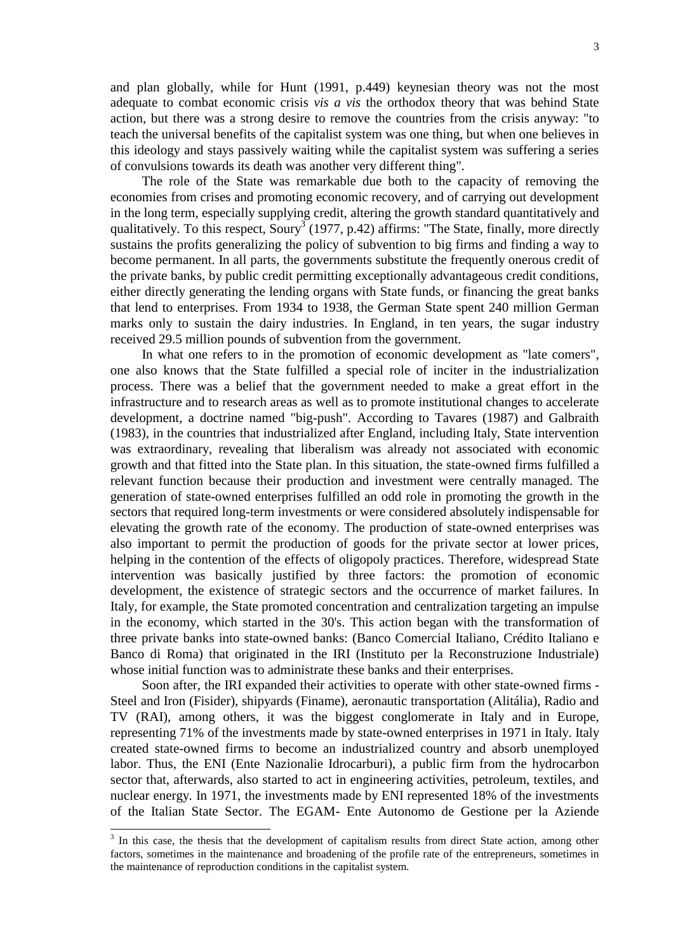and plan globally, while for Hunt (1991, p.449) keynesian theory was not the most adequate to combat economic crisis *vis a vis* the orthodox theory that was behind State action, but there was a strong desire to remove the countries from the crisis anyway: "to teach the universal benefits of the capitalist system was one thing, but when one believes in this ideology and stays passively waiting while the capitalist system was suffering a series of convulsions towards its death was another very different thing".

The role of the State was remarkable due both to the capacity of removing the economies from crises and promoting economic recovery, and of carrying out development in the long term, especially supplying credit, altering the growth standard quantitatively and qualitatively. To this respect,  $Soury^3$  (1977, p.42) affirms: "The State, finally, more directly sustains the profits generalizing the policy of subvention to big firms and finding a way to become permanent. In all parts, the governments substitute the frequently onerous credit of the private banks, by public credit permitting exceptionally advantageous credit conditions, either directly generating the lending organs with State funds, or financing the great banks that lend to enterprises. From 1934 to 1938, the German State spent 240 million German marks only to sustain the dairy industries. In England, in ten years, the sugar industry received 29.5 million pounds of subvention from the government.

In what one refers to in the promotion of economic development as "late comers"*,* one also knows that the State fulfilled a special role of inciter in the industrialization process. There was a belief that the government needed to make a great effort in the infrastructure and to research areas as well as to promote institutional changes to accelerate development, a doctrine named "big-push". According to Tavares (1987) and Galbraith (1983), in the countries that industrialized after England, including Italy, State intervention was extraordinary, revealing that liberalism was already not associated with economic growth and that fitted into the State plan. In this situation, the state-owned firms fulfilled a relevant function because their production and investment were centrally managed. The generation of state-owned enterprises fulfilled an odd role in promoting the growth in the sectors that required long-term investments or were considered absolutely indispensable for elevating the growth rate of the economy. The production of state-owned enterprises was also important to permit the production of goods for the private sector at lower prices, helping in the contention of the effects of oligopoly practices. Therefore, widespread State intervention was basically justified by three factors: the promotion of economic development, the existence of strategic sectors and the occurrence of market failures. In Italy, for example, the State promoted concentration and centralization targeting an impulse in the economy, which started in the 30's. This action began with the transformation of three private banks into state-owned banks: (Banco Comercial Italiano, Crédito Italiano e Banco di Roma) that originated in the IRI (Instituto per la Reconstruzione Industriale) whose initial function was to administrate these banks and their enterprises.

Soon after, the IRI expanded their activities to operate with other state-owned firms - Steel and Iron (Fisider), shipyards (Finame), aeronautic transportation (Alitália), Radio and TV (RAI), among others, it was the biggest conglomerate in Italy and in Europe, representing 71% of the investments made by state-owned enterprises in 1971 in Italy. Italy created state-owned firms to become an industrialized country and absorb unemployed labor. Thus, the ENI (Ente Nazionalie Idrocarburi), a public firm from the hydrocarbon sector that, afterwards, also started to act in engineering activities, petroleum, textiles, and nuclear energy. In 1971, the investments made by ENI represented 18% of the investments of the Italian State Sector. The EGAM- Ente Autonomo de Gestione per la Aziende

l

<sup>&</sup>lt;sup>3</sup> In this case, the thesis that the development of capitalism results from direct State action, among other factors, sometimes in the maintenance and broadening of the profile rate of the entrepreneurs, sometimes in the maintenance of reproduction conditions in the capitalist system.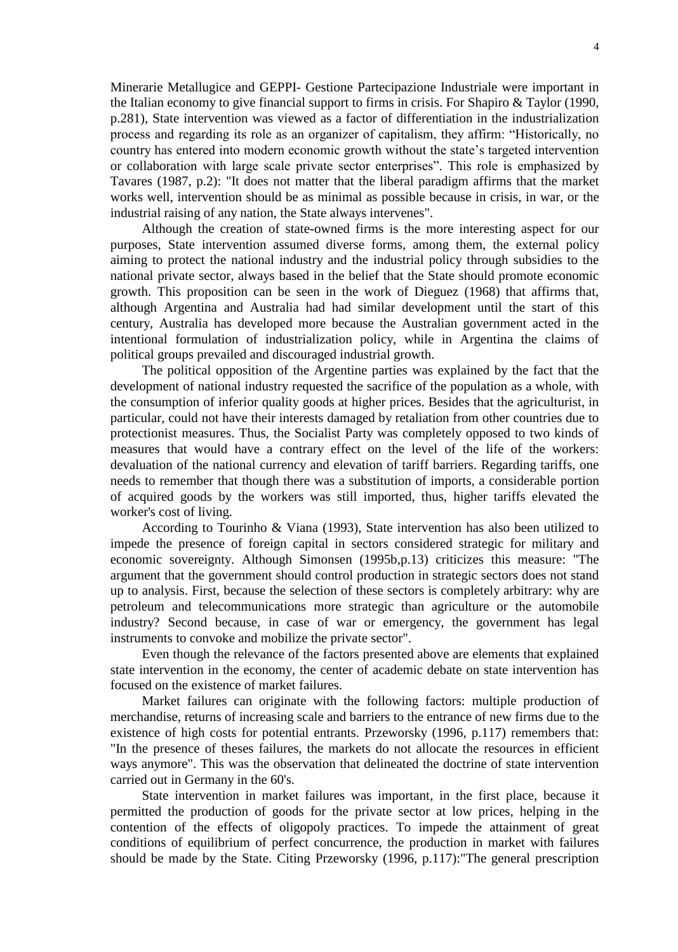Minerarie Metallugice and GEPPI- Gestione Partecipazione Industriale were important in the Italian economy to give financial support to firms in crisis. For Shapiro & Taylor (1990, p.281), State intervention was viewed as a factor of differentiation in the industrialization process and regarding its role as an organizer of capitalism, they affirm: "Historically, no country has entered into modern economic growth without the state's targeted intervention or collaboration with large scale private sector enterprises". This role is emphasized by Tavares (1987, p.2): "It does not matter that the liberal paradigm affirms that the market works well, intervention should be as minimal as possible because in crisis, in war, or the industrial raising of any nation, the State always intervenes".

Although the creation of state-owned firms is the more interesting aspect for our purposes, State intervention assumed diverse forms, among them, the external policy aiming to protect the national industry and the industrial policy through subsidies to the national private sector, always based in the belief that the State should promote economic growth. This proposition can be seen in the work of Dieguez (1968) that affirms that, although Argentina and Australia had had similar development until the start of this century, Australia has developed more because the Australian government acted in the intentional formulation of industrialization policy, while in Argentina the claims of political groups prevailed and discouraged industrial growth.

The political opposition of the Argentine parties was explained by the fact that the development of national industry requested the sacrifice of the population as a whole, with the consumption of inferior quality goods at higher prices. Besides that the agriculturist, in particular, could not have their interests damaged by retaliation from other countries due to protectionist measures. Thus, the Socialist Party was completely opposed to two kinds of measures that would have a contrary effect on the level of the life of the workers: devaluation of the national currency and elevation of tariff barriers. Regarding tariffs, one needs to remember that though there was a substitution of imports, a considerable portion of acquired goods by the workers was still imported, thus, higher tariffs elevated the worker's cost of living.

According to Tourinho & Viana (1993), State intervention has also been utilized to impede the presence of foreign capital in sectors considered strategic for military and economic sovereignty. Although Simonsen (1995b,p.13) criticizes this measure: "The argument that the government should control production in strategic sectors does not stand up to analysis. First, because the selection of these sectors is completely arbitrary: why are petroleum and telecommunications more strategic than agriculture or the automobile industry? Second because, in case of war or emergency, the government has legal instruments to convoke and mobilize the private sector".

Even though the relevance of the factors presented above are elements that explained state intervention in the economy, the center of academic debate on state intervention has focused on the existence of market failures.

Market failures can originate with the following factors: multiple production of merchandise, returns of increasing scale and barriers to the entrance of new firms due to the existence of high costs for potential entrants. Przeworsky (1996, p.117) remembers that: "In the presence of theses failures, the markets do not allocate the resources in efficient ways anymore". This was the observation that delineated the doctrine of state intervention carried out in Germany in the 60's.

State intervention in market failures was important, in the first place, because it permitted the production of goods for the private sector at low prices, helping in the contention of the effects of oligopoly practices. To impede the attainment of great conditions of equilibrium of perfect concurrence, the production in market with failures should be made by the State. Citing Przeworsky (1996, p.117):"The general prescription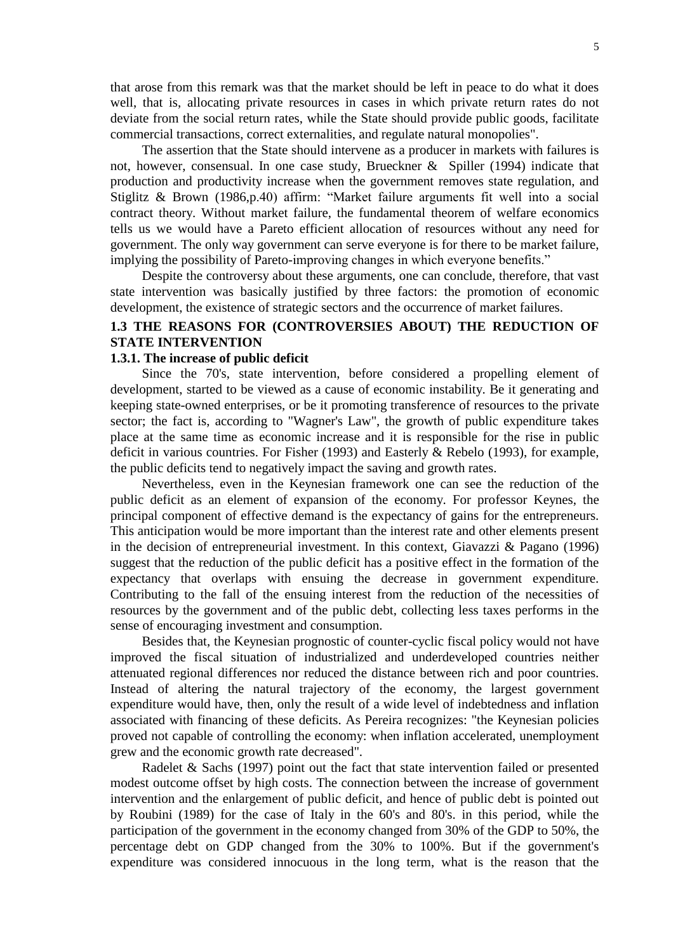that arose from this remark was that the market should be left in peace to do what it does well, that is, allocating private resources in cases in which private return rates do not deviate from the social return rates, while the State should provide public goods, facilitate commercial transactions, correct externalities, and regulate natural monopolies".

The assertion that the State should intervene as a producer in markets with failures is not, however, consensual. In one case study, Brueckner & Spiller (1994) indicate that production and productivity increase when the government removes state regulation, and Stiglitz & Brown (1986,p.40) affirm: "Market failure arguments fit well into a social contract theory. Without market failure, the fundamental theorem of welfare economics tells us we would have a Pareto efficient allocation of resources without any need for government. The only way government can serve everyone is for there to be market failure, implying the possibility of Pareto-improving changes in which everyone benefits."

Despite the controversy about these arguments, one can conclude, therefore, that vast state intervention was basically justified by three factors: the promotion of economic development, the existence of strategic sectors and the occurrence of market failures.

# **1.3 THE REASONS FOR (CONTROVERSIES ABOUT) THE REDUCTION OF STATE INTERVENTION**

# **1.3.1. The increase of public deficit**

Since the 70's, state intervention, before considered a propelling element of development, started to be viewed as a cause of economic instability. Be it generating and keeping state-owned enterprises, or be it promoting transference of resources to the private sector; the fact is, according to "Wagner's Law", the growth of public expenditure takes place at the same time as economic increase and it is responsible for the rise in public deficit in various countries. For Fisher (1993) and Easterly & Rebelo (1993), for example, the public deficits tend to negatively impact the saving and growth rates.

Nevertheless, even in the Keynesian framework one can see the reduction of the public deficit as an element of expansion of the economy. For professor Keynes, the principal component of effective demand is the expectancy of gains for the entrepreneurs. This anticipation would be more important than the interest rate and other elements present in the decision of entrepreneurial investment. In this context, Giavazzi & Pagano (1996) suggest that the reduction of the public deficit has a positive effect in the formation of the expectancy that overlaps with ensuing the decrease in government expenditure. Contributing to the fall of the ensuing interest from the reduction of the necessities of resources by the government and of the public debt, collecting less taxes performs in the sense of encouraging investment and consumption.

Besides that, the Keynesian prognostic of counter-cyclic fiscal policy would not have improved the fiscal situation of industrialized and underdeveloped countries neither attenuated regional differences nor reduced the distance between rich and poor countries. Instead of altering the natural trajectory of the economy, the largest government expenditure would have, then, only the result of a wide level of indebtedness and inflation associated with financing of these deficits. As Pereira recognizes: "the Keynesian policies proved not capable of controlling the economy: when inflation accelerated, unemployment grew and the economic growth rate decreased".

Radelet & Sachs (1997) point out the fact that state intervention failed or presented modest outcome offset by high costs. The connection between the increase of government intervention and the enlargement of public deficit, and hence of public debt is pointed out by Roubini (1989) for the case of Italy in the 60's and 80's. in this period, while the participation of the government in the economy changed from 30% of the GDP to 50%, the percentage debt on GDP changed from the 30% to 100%. But if the government's expenditure was considered innocuous in the long term, what is the reason that the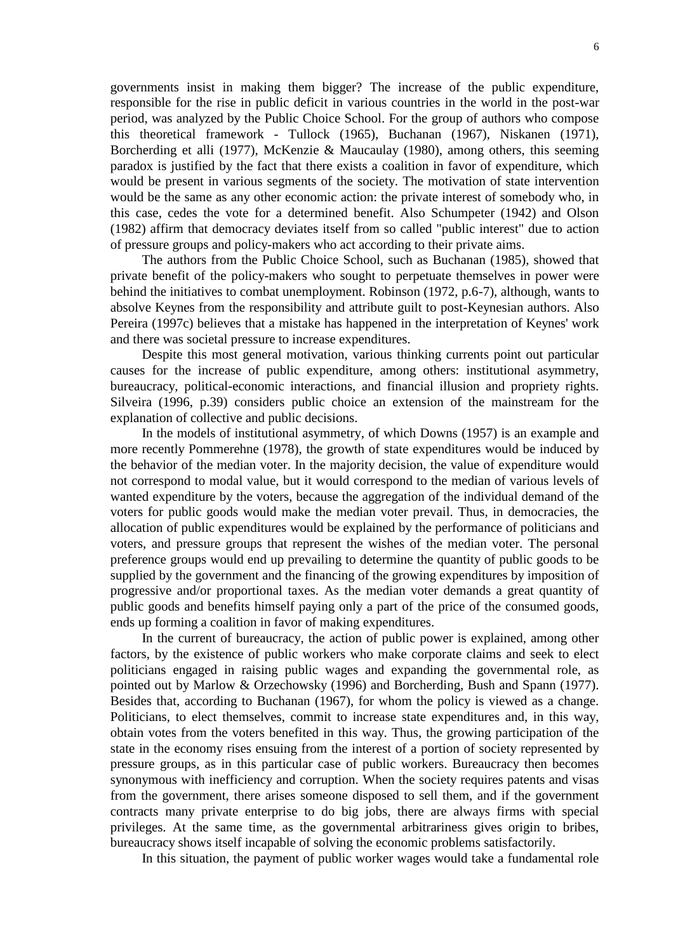governments insist in making them bigger? The increase of the public expenditure, responsible for the rise in public deficit in various countries in the world in the post-war period, was analyzed by the Public Choice School. For the group of authors who compose this theoretical framework - Tullock (1965), Buchanan (1967), Niskanen (1971), Borcherding et alli (1977), McKenzie & Maucaulay (1980), among others, this seeming paradox is justified by the fact that there exists a coalition in favor of expenditure, which would be present in various segments of the society. The motivation of state intervention would be the same as any other economic action: the private interest of somebody who, in this case, cedes the vote for a determined benefit. Also Schumpeter (1942) and Olson (1982) affirm that democracy deviates itself from so called "public interest" due to action of pressure groups and policy-makers who act according to their private aims.

The authors from the Public Choice School, such as Buchanan (1985), showed that private benefit of the policy-makers who sought to perpetuate themselves in power were behind the initiatives to combat unemployment. Robinson (1972, p.6-7), although, wants to absolve Keynes from the responsibility and attribute guilt to post-Keynesian authors. Also Pereira (1997c) believes that a mistake has happened in the interpretation of Keynes' work and there was societal pressure to increase expenditures.

Despite this most general motivation, various thinking currents point out particular causes for the increase of public expenditure, among others: institutional asymmetry, bureaucracy, political-economic interactions, and financial illusion and propriety rights. Silveira (1996, p.39) considers public choice an extension of the mainstream for the explanation of collective and public decisions.

In the models of institutional asymmetry, of which Downs (1957) is an example and more recently Pommerehne (1978), the growth of state expenditures would be induced by the behavior of the median voter. In the majority decision, the value of expenditure would not correspond to modal value, but it would correspond to the median of various levels of wanted expenditure by the voters, because the aggregation of the individual demand of the voters for public goods would make the median voter prevail. Thus, in democracies, the allocation of public expenditures would be explained by the performance of politicians and voters, and pressure groups that represent the wishes of the median voter. The personal preference groups would end up prevailing to determine the quantity of public goods to be supplied by the government and the financing of the growing expenditures by imposition of progressive and/or proportional taxes. As the median voter demands a great quantity of public goods and benefits himself paying only a part of the price of the consumed goods, ends up forming a coalition in favor of making expenditures.

In the current of bureaucracy, the action of public power is explained, among other factors, by the existence of public workers who make corporate claims and seek to elect politicians engaged in raising public wages and expanding the governmental role, as pointed out by Marlow & Orzechowsky (1996) and Borcherding, Bush and Spann (1977). Besides that, according to Buchanan (1967), for whom the policy is viewed as a change. Politicians, to elect themselves, commit to increase state expenditures and, in this way, obtain votes from the voters benefited in this way. Thus, the growing participation of the state in the economy rises ensuing from the interest of a portion of society represented by pressure groups, as in this particular case of public workers. Bureaucracy then becomes synonymous with inefficiency and corruption. When the society requires patents and visas from the government, there arises someone disposed to sell them, and if the government contracts many private enterprise to do big jobs, there are always firms with special privileges. At the same time, as the governmental arbitrariness gives origin to bribes, bureaucracy shows itself incapable of solving the economic problems satisfactorily.

In this situation, the payment of public worker wages would take a fundamental role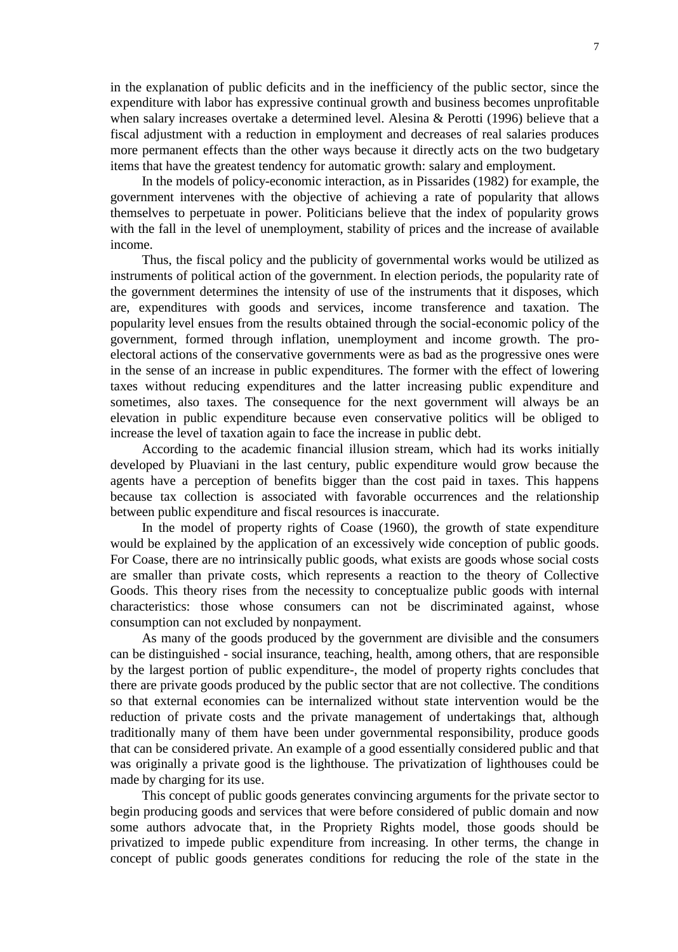in the explanation of public deficits and in the inefficiency of the public sector, since the expenditure with labor has expressive continual growth and business becomes unprofitable when salary increases overtake a determined level. Alesina & Perotti (1996) believe that a fiscal adjustment with a reduction in employment and decreases of real salaries produces more permanent effects than the other ways because it directly acts on the two budgetary items that have the greatest tendency for automatic growth: salary and employment.

In the models of policy-economic interaction, as in Pissarides (1982) for example, the government intervenes with the objective of achieving a rate of popularity that allows themselves to perpetuate in power. Politicians believe that the index of popularity grows with the fall in the level of unemployment, stability of prices and the increase of available income.

Thus, the fiscal policy and the publicity of governmental works would be utilized as instruments of political action of the government. In election periods, the popularity rate of the government determines the intensity of use of the instruments that it disposes, which are, expenditures with goods and services, income transference and taxation. The popularity level ensues from the results obtained through the social-economic policy of the government, formed through inflation, unemployment and income growth. The proelectoral actions of the conservative governments were as bad as the progressive ones were in the sense of an increase in public expenditures. The former with the effect of lowering taxes without reducing expenditures and the latter increasing public expenditure and sometimes, also taxes. The consequence for the next government will always be an elevation in public expenditure because even conservative politics will be obliged to increase the level of taxation again to face the increase in public debt.

According to the academic financial illusion stream, which had its works initially developed by Pluaviani in the last century, public expenditure would grow because the agents have a perception of benefits bigger than the cost paid in taxes. This happens because tax collection is associated with favorable occurrences and the relationship between public expenditure and fiscal resources is inaccurate.

In the model of property rights of Coase (1960), the growth of state expenditure would be explained by the application of an excessively wide conception of public goods. For Coase, there are no intrinsically public goods, what exists are goods whose social costs are smaller than private costs, which represents a reaction to the theory of Collective Goods. This theory rises from the necessity to conceptualize public goods with internal characteristics: those whose consumers can not be discriminated against, whose consumption can not excluded by nonpayment.

As many of the goods produced by the government are divisible and the consumers can be distinguished - social insurance, teaching, health, among others, that are responsible by the largest portion of public expenditure-, the model of property rights concludes that there are private goods produced by the public sector that are not collective. The conditions so that external economies can be internalized without state intervention would be the reduction of private costs and the private management of undertakings that, although traditionally many of them have been under governmental responsibility, produce goods that can be considered private. An example of a good essentially considered public and that was originally a private good is the lighthouse. The privatization of lighthouses could be made by charging for its use.

This concept of public goods generates convincing arguments for the private sector to begin producing goods and services that were before considered of public domain and now some authors advocate that, in the Propriety Rights model, those goods should be privatized to impede public expenditure from increasing. In other terms, the change in concept of public goods generates conditions for reducing the role of the state in the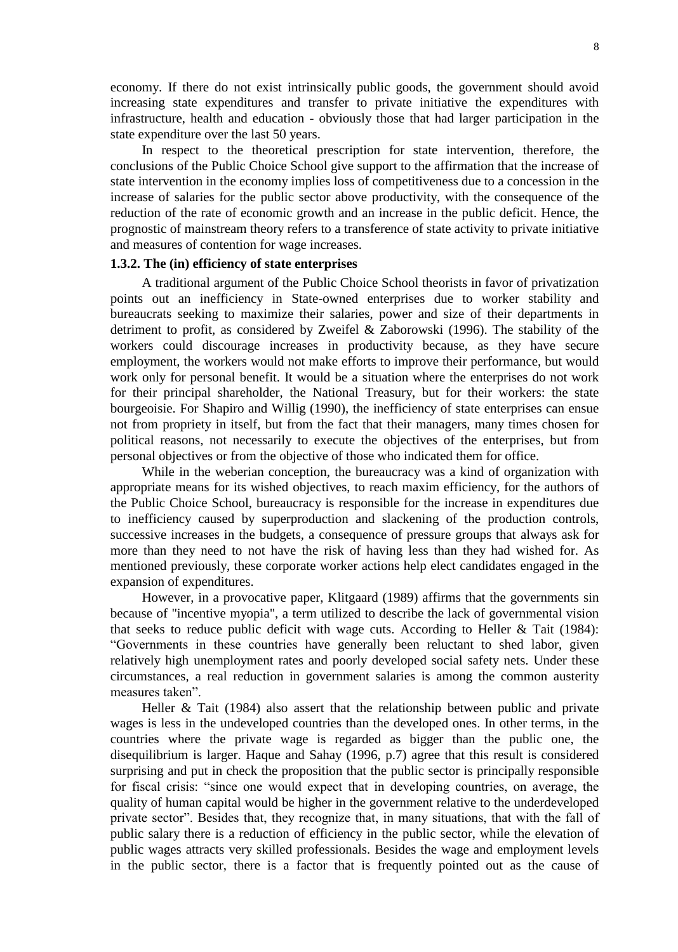economy. If there do not exist intrinsically public goods, the government should avoid increasing state expenditures and transfer to private initiative the expenditures with infrastructure, health and education - obviously those that had larger participation in the state expenditure over the last 50 years.

In respect to the theoretical prescription for state intervention, therefore, the conclusions of the Public Choice School give support to the affirmation that the increase of state intervention in the economy implies loss of competitiveness due to a concession in the increase of salaries for the public sector above productivity, with the consequence of the reduction of the rate of economic growth and an increase in the public deficit. Hence, the prognostic of mainstream theory refers to a transference of state activity to private initiative and measures of contention for wage increases.

## **1.3.2. The (in) efficiency of state enterprises**

A traditional argument of the Public Choice School theorists in favor of privatization points out an inefficiency in State-owned enterprises due to worker stability and bureaucrats seeking to maximize their salaries, power and size of their departments in detriment to profit, as considered by Zweifel & Zaborowski (1996). The stability of the workers could discourage increases in productivity because, as they have secure employment, the workers would not make efforts to improve their performance, but would work only for personal benefit. It would be a situation where the enterprises do not work for their principal shareholder, the National Treasury, but for their workers: the state bourgeoisie. For Shapiro and Willig (1990), the inefficiency of state enterprises can ensue not from propriety in itself, but from the fact that their managers, many times chosen for political reasons, not necessarily to execute the objectives of the enterprises, but from personal objectives or from the objective of those who indicated them for office.

While in the weberian conception, the bureaucracy was a kind of organization with appropriate means for its wished objectives, to reach maxim efficiency, for the authors of the Public Choice School, bureaucracy is responsible for the increase in expenditures due to inefficiency caused by superproduction and slackening of the production controls, successive increases in the budgets, a consequence of pressure groups that always ask for more than they need to not have the risk of having less than they had wished for. As mentioned previously, these corporate worker actions help elect candidates engaged in the expansion of expenditures.

However, in a provocative paper, Klitgaard (1989) affirms that the governments sin because of "incentive myopia", a term utilized to describe the lack of governmental vision that seeks to reduce public deficit with wage cuts. According to Heller & Tait (1984): "Governments in these countries have generally been reluctant to shed labor, given relatively high unemployment rates and poorly developed social safety nets. Under these circumstances, a real reduction in government salaries is among the common austerity measures taken".

Heller & Tait (1984) also assert that the relationship between public and private wages is less in the undeveloped countries than the developed ones. In other terms, in the countries where the private wage is regarded as bigger than the public one, the disequilibrium is larger. Haque and Sahay (1996, p.7) agree that this result is considered surprising and put in check the proposition that the public sector is principally responsible for fiscal crisis: "since one would expect that in developing countries, on average, the quality of human capital would be higher in the government relative to the underdeveloped private sector". Besides that, they recognize that, in many situations, that with the fall of public salary there is a reduction of efficiency in the public sector, while the elevation of public wages attracts very skilled professionals. Besides the wage and employment levels in the public sector, there is a factor that is frequently pointed out as the cause of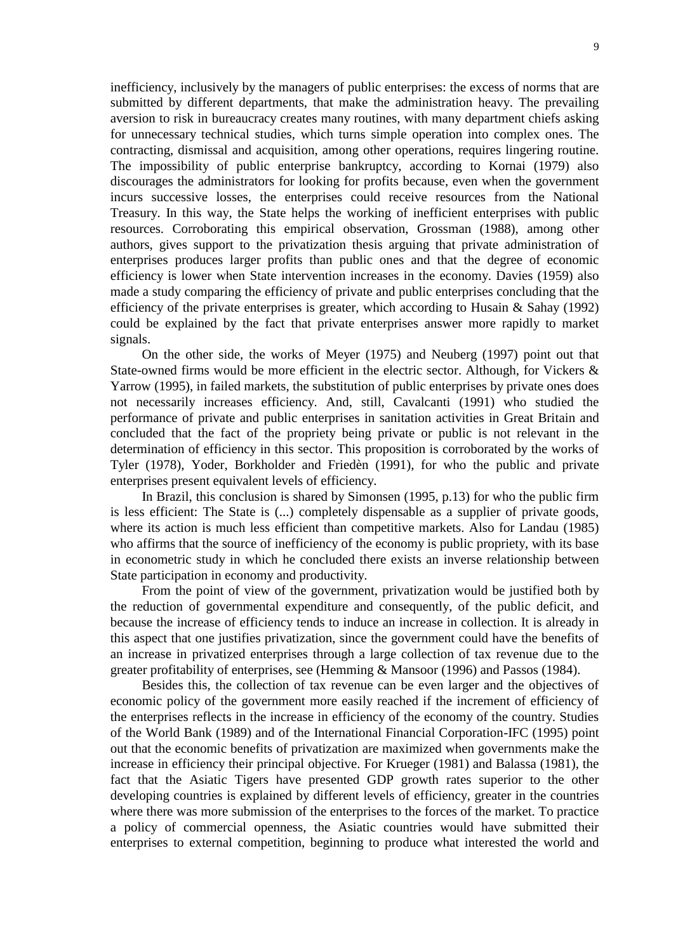inefficiency, inclusively by the managers of public enterprises: the excess of norms that are submitted by different departments, that make the administration heavy. The prevailing aversion to risk in bureaucracy creates many routines, with many department chiefs asking for unnecessary technical studies, which turns simple operation into complex ones. The contracting, dismissal and acquisition, among other operations, requires lingering routine. The impossibility of public enterprise bankruptcy, according to Kornai (1979) also discourages the administrators for looking for profits because, even when the government incurs successive losses, the enterprises could receive resources from the National Treasury. In this way, the State helps the working of inefficient enterprises with public resources. Corroborating this empirical observation, Grossman (1988), among other authors, gives support to the privatization thesis arguing that private administration of enterprises produces larger profits than public ones and that the degree of economic efficiency is lower when State intervention increases in the economy. Davies (1959) also made a study comparing the efficiency of private and public enterprises concluding that the efficiency of the private enterprises is greater, which according to Husain  $\&$  Sahay (1992) could be explained by the fact that private enterprises answer more rapidly to market signals.

On the other side, the works of Meyer (1975) and Neuberg (1997) point out that State-owned firms would be more efficient in the electric sector. Although, for Vickers  $\&$ Yarrow (1995), in failed markets, the substitution of public enterprises by private ones does not necessarily increases efficiency. And, still, Cavalcanti (1991) who studied the performance of private and public enterprises in sanitation activities in Great Britain and concluded that the fact of the propriety being private or public is not relevant in the determination of efficiency in this sector. This proposition is corroborated by the works of Tyler (1978), Yoder, Borkholder and Friedèn (1991), for who the public and private enterprises present equivalent levels of efficiency.

In Brazil, this conclusion is shared by Simonsen (1995, p.13) for who the public firm is less efficient: The State is (...) completely dispensable as a supplier of private goods, where its action is much less efficient than competitive markets. Also for Landau (1985) who affirms that the source of inefficiency of the economy is public propriety, with its base in econometric study in which he concluded there exists an inverse relationship between State participation in economy and productivity.

From the point of view of the government, privatization would be justified both by the reduction of governmental expenditure and consequently, of the public deficit, and because the increase of efficiency tends to induce an increase in collection. It is already in this aspect that one justifies privatization, since the government could have the benefits of an increase in privatized enterprises through a large collection of tax revenue due to the greater profitability of enterprises, see (Hemming & Mansoor (1996) and Passos (1984).

Besides this, the collection of tax revenue can be even larger and the objectives of economic policy of the government more easily reached if the increment of efficiency of the enterprises reflects in the increase in efficiency of the economy of the country. Studies of the World Bank (1989) and of the International Financial Corporation-IFC (1995) point out that the economic benefits of privatization are maximized when governments make the increase in efficiency their principal objective. For Krueger (1981) and Balassa (1981), the fact that the Asiatic Tigers have presented GDP growth rates superior to the other developing countries is explained by different levels of efficiency, greater in the countries where there was more submission of the enterprises to the forces of the market. To practice a policy of commercial openness, the Asiatic countries would have submitted their enterprises to external competition, beginning to produce what interested the world and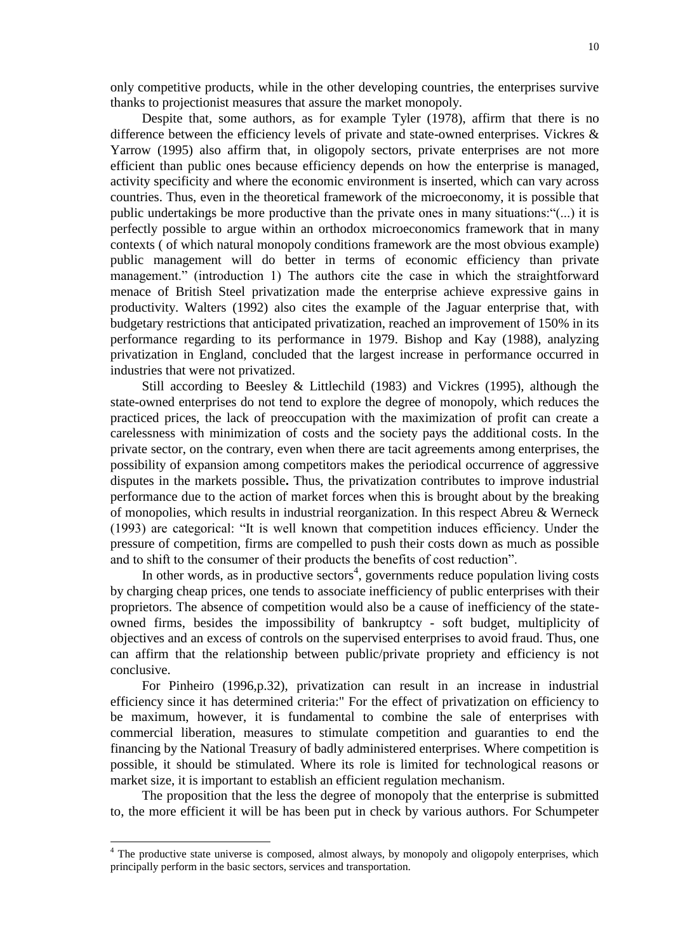only competitive products, while in the other developing countries, the enterprises survive thanks to projectionist measures that assure the market monopoly.

Despite that, some authors, as for example Tyler (1978), affirm that there is no difference between the efficiency levels of private and state-owned enterprises. Vickres & Yarrow (1995) also affirm that, in oligopoly sectors, private enterprises are not more efficient than public ones because efficiency depends on how the enterprise is managed, activity specificity and where the economic environment is inserted, which can vary across countries. Thus, even in the theoretical framework of the microeconomy, it is possible that public undertakings be more productive than the private ones in many situations:"(...) it is perfectly possible to argue within an orthodox microeconomics framework that in many contexts ( of which natural monopoly conditions framework are the most obvious example) public management will do better in terms of economic efficiency than private management." (introduction 1) The authors cite the case in which the straightforward menace of British Steel privatization made the enterprise achieve expressive gains in productivity. Walters (1992) also cites the example of the Jaguar enterprise that, with budgetary restrictions that anticipated privatization, reached an improvement of 150% in its performance regarding to its performance in 1979. Bishop and Kay (1988), analyzing privatization in England, concluded that the largest increase in performance occurred in industries that were not privatized.

Still according to Beesley & Littlechild (1983) and Vickres (1995), although the state-owned enterprises do not tend to explore the degree of monopoly, which reduces the practiced prices, the lack of preoccupation with the maximization of profit can create a carelessness with minimization of costs and the society pays the additional costs. In the private sector, on the contrary, even when there are tacit agreements among enterprises, the possibility of expansion among competitors makes the periodical occurrence of aggressive disputes in the markets possible**.** Thus, the privatization contributes to improve industrial performance due to the action of market forces when this is brought about by the breaking of monopolies, which results in industrial reorganization. In this respect Abreu & Werneck (1993) are categorical: "It is well known that competition induces efficiency. Under the pressure of competition, firms are compelled to push their costs down as much as possible and to shift to the consumer of their products the benefits of cost reduction".

In other words, as in productive sectors<sup>4</sup>, governments reduce population living costs by charging cheap prices, one tends to associate inefficiency of public enterprises with their proprietors. The absence of competition would also be a cause of inefficiency of the stateowned firms, besides the impossibility of bankruptcy - soft budget, multiplicity of objectives and an excess of controls on the supervised enterprises to avoid fraud. Thus, one can affirm that the relationship between public/private propriety and efficiency is not conclusive.

For Pinheiro (1996,p.32), privatization can result in an increase in industrial efficiency since it has determined criteria:" For the effect of privatization on efficiency to be maximum, however, it is fundamental to combine the sale of enterprises with commercial liberation, measures to stimulate competition and guaranties to end the financing by the National Treasury of badly administered enterprises. Where competition is possible, it should be stimulated. Where its role is limited for technological reasons or market size, it is important to establish an efficient regulation mechanism.

The proposition that the less the degree of monopoly that the enterprise is submitted to, the more efficient it will be has been put in check by various authors. For Schumpeter

l

<sup>&</sup>lt;sup>4</sup> The productive state universe is composed, almost always, by monopoly and oligopoly enterprises, which principally perform in the basic sectors, services and transportation.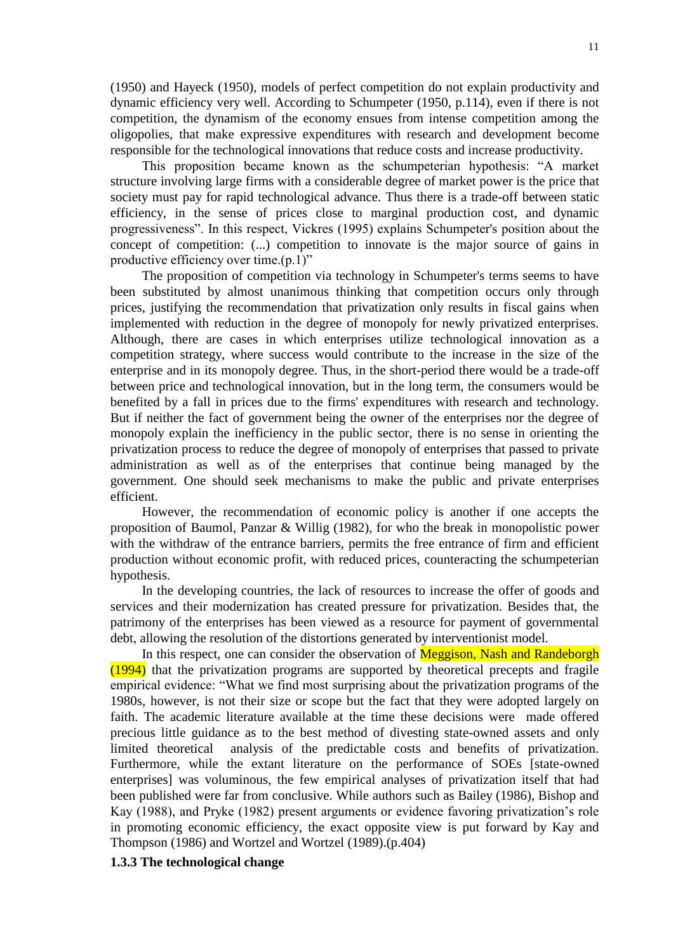(1950) and Hayeck (1950), models of perfect competition do not explain productivity and dynamic efficiency very well. According to Schumpeter (1950, p.114), even if there is not competition, the dynamism of the economy ensues from intense competition among the oligopolies, that make expressive expenditures with research and development become responsible for the technological innovations that reduce costs and increase productivity.

This proposition became known as the schumpeterian hypothesis: "A market structure involving large firms with a considerable degree of market power is the price that society must pay for rapid technological advance. Thus there is a trade-off between static efficiency, in the sense of prices close to marginal production cost, and dynamic progressiveness". In this respect, Vickres (1995) explains Schumpeter's position about the concept of competition: (...) competition to innovate is the major source of gains in productive efficiency over time.(p.1)"

The proposition of competition via technology in Schumpeter's terms seems to have been substituted by almost unanimous thinking that competition occurs only through prices, justifying the recommendation that privatization only results in fiscal gains when implemented with reduction in the degree of monopoly for newly privatized enterprises. Although, there are cases in which enterprises utilize technological innovation as a competition strategy, where success would contribute to the increase in the size of the enterprise and in its monopoly degree. Thus, in the short-period there would be a trade-off between price and technological innovation, but in the long term, the consumers would be benefited by a fall in prices due to the firms' expenditures with research and technology. But if neither the fact of government being the owner of the enterprises nor the degree of monopoly explain the inefficiency in the public sector, there is no sense in orienting the privatization process to reduce the degree of monopoly of enterprises that passed to private administration as well as of the enterprises that continue being managed by the government. One should seek mechanisms to make the public and private enterprises efficient.

However, the recommendation of economic policy is another if one accepts the proposition of Baumol, Panzar & Willig (1982), for who the break in monopolistic power with the withdraw of the entrance barriers, permits the free entrance of firm and efficient production without economic profit, with reduced prices, counteracting the schumpeterian hypothesis.

In the developing countries, the lack of resources to increase the offer of goods and services and their modernization has created pressure for privatization. Besides that, the patrimony of the enterprises has been viewed as a resource for payment of governmental debt, allowing the resolution of the distortions generated by interventionist model.

In this respect, one can consider the observation of Meggison, Nash and Randeborgh (1994) that the privatization programs are supported by theoretical precepts and fragile empirical evidence: "What we find most surprising about the privatization programs of the 1980s, however, is not their size or scope but the fact that they were adopted largely on faith. The academic literature available at the time these decisions were made offered precious little guidance as to the best method of divesting state-owned assets and only limited theoretical analysis of the predictable costs and benefits of privatization. Furthermore, while the extant literature on the performance of SOEs [state-owned enterprises] was voluminous, the few empirical analyses of privatization itself that had been published were far from conclusive. While authors such as Bailey (1986), Bishop and Kay (1988), and Pryke (1982) present arguments or evidence favoring privatization's role in promoting economic efficiency, the exact opposite view is put forward by Kay and Thompson (1986) and Wortzel and Wortzel (1989).(p.404)

## **1.3.3 The technological change**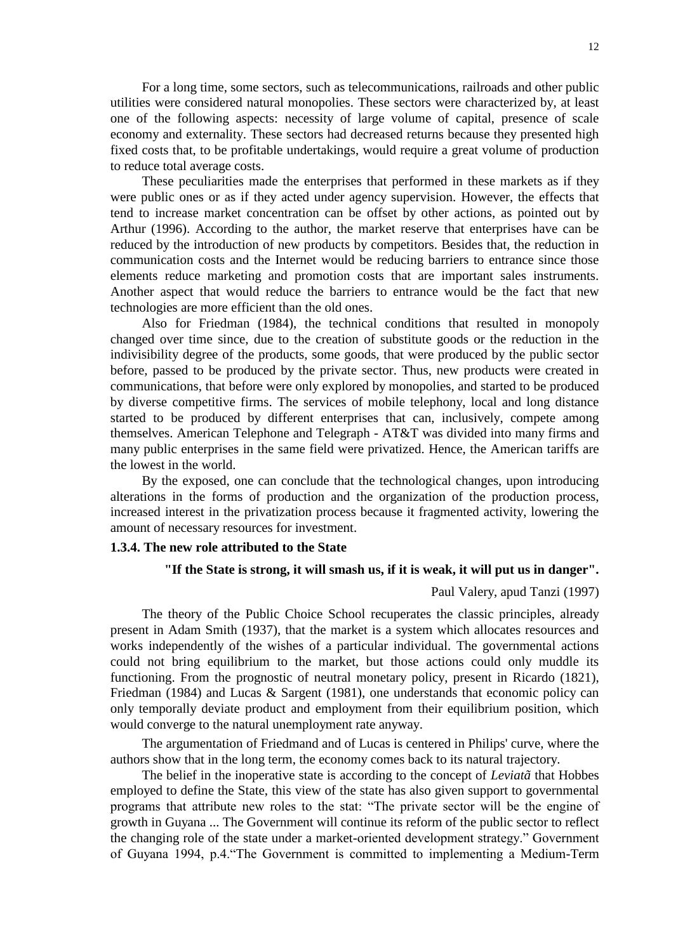For a long time, some sectors, such as telecommunications, railroads and other public utilities were considered natural monopolies. These sectors were characterized by, at least one of the following aspects: necessity of large volume of capital, presence of scale economy and externality. These sectors had decreased returns because they presented high fixed costs that, to be profitable undertakings, would require a great volume of production to reduce total average costs.

These peculiarities made the enterprises that performed in these markets as if they were public ones or as if they acted under agency supervision. However, the effects that tend to increase market concentration can be offset by other actions, as pointed out by Arthur (1996). According to the author, the market reserve that enterprises have can be reduced by the introduction of new products by competitors. Besides that, the reduction in communication costs and the Internet would be reducing barriers to entrance since those elements reduce marketing and promotion costs that are important sales instruments. Another aspect that would reduce the barriers to entrance would be the fact that new technologies are more efficient than the old ones.

Also for Friedman (1984), the technical conditions that resulted in monopoly changed over time since, due to the creation of substitute goods or the reduction in the indivisibility degree of the products, some goods, that were produced by the public sector before, passed to be produced by the private sector. Thus, new products were created in communications, that before were only explored by monopolies, and started to be produced by diverse competitive firms. The services of mobile telephony, local and long distance started to be produced by different enterprises that can, inclusively, compete among themselves. American Telephone and Telegraph - AT&T was divided into many firms and many public enterprises in the same field were privatized. Hence, the American tariffs are the lowest in the world.

By the exposed, one can conclude that the technological changes, upon introducing alterations in the forms of production and the organization of the production process, increased interest in the privatization process because it fragmented activity, lowering the amount of necessary resources for investment.

#### **1.3.4. The new role attributed to the State**

#### **"If the State is strong, it will smash us, if it is weak, it will put us in danger".**

## Paul Valery, apud Tanzi (1997)

The theory of the Public Choice School recuperates the classic principles, already present in Adam Smith (1937), that the market is a system which allocates resources and works independently of the wishes of a particular individual. The governmental actions could not bring equilibrium to the market, but those actions could only muddle its functioning. From the prognostic of neutral monetary policy, present in Ricardo (1821), Friedman (1984) and Lucas & Sargent (1981), one understands that economic policy can only temporally deviate product and employment from their equilibrium position, which would converge to the natural unemployment rate anyway.

The argumentation of Friedmand and of Lucas is centered in Philips' curve, where the authors show that in the long term, the economy comes back to its natural trajectory.

The belief in the inoperative state is according to the concept of *Leviatã* that Hobbes employed to define the State, this view of the state has also given support to governmental programs that attribute new roles to the stat: "The private sector will be the engine of growth in Guyana ... The Government will continue its reform of the public sector to reflect the changing role of the state under a market-oriented development strategy." Government of Guyana 1994, p.4."The Government is committed to implementing a Medium-Term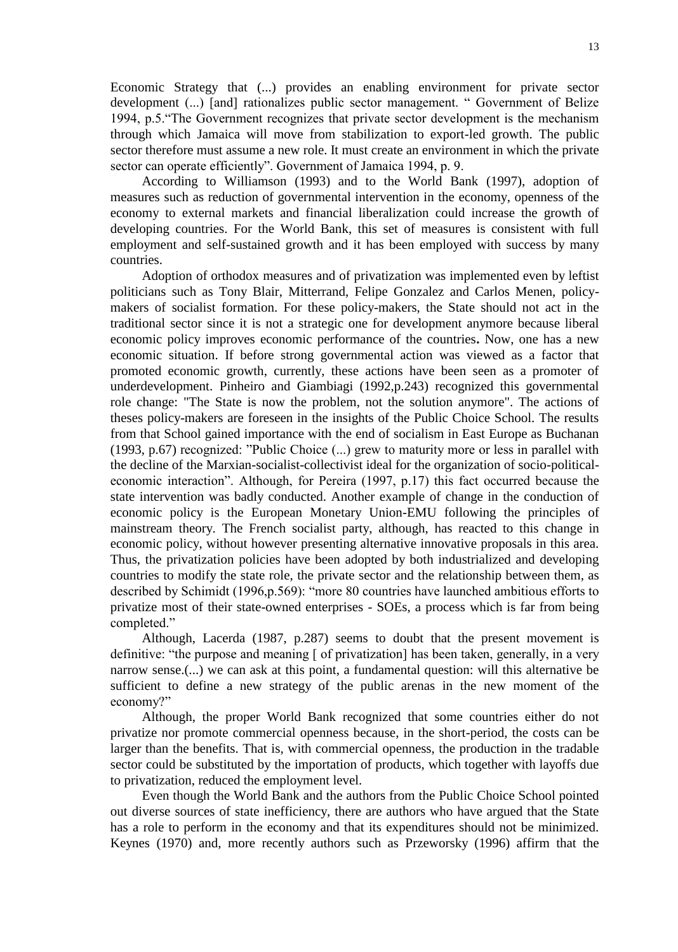Economic Strategy that (...) provides an enabling environment for private sector development (...) [and] rationalizes public sector management. " Government of Belize 1994, p.5."The Government recognizes that private sector development is the mechanism through which Jamaica will move from stabilization to export-led growth. The public sector therefore must assume a new role. It must create an environment in which the private sector can operate efficiently". Government of Jamaica 1994, p. 9.

According to Williamson (1993) and to the World Bank (1997), adoption of measures such as reduction of governmental intervention in the economy, openness of the economy to external markets and financial liberalization could increase the growth of developing countries. For the World Bank, this set of measures is consistent with full employment and self-sustained growth and it has been employed with success by many countries.

Adoption of orthodox measures and of privatization was implemented even by leftist politicians such as Tony Blair, Mitterrand, Felipe Gonzalez and Carlos Menen, policymakers of socialist formation. For these policy-makers, the State should not act in the traditional sector since it is not a strategic one for development anymore because liberal economic policy improves economic performance of the countries**.** Now, one has a new economic situation. If before strong governmental action was viewed as a factor that promoted economic growth, currently, these actions have been seen as a promoter of underdevelopment. Pinheiro and Giambiagi (1992,p.243) recognized this governmental role change: "The State is now the problem, not the solution anymore". The actions of theses policy-makers are foreseen in the insights of the Public Choice School. The results from that School gained importance with the end of socialism in East Europe as Buchanan (1993, p.67) recognized: "Public Choice (...) grew to maturity more or less in parallel with the decline of the Marxian-socialist-collectivist ideal for the organization of socio-politicaleconomic interaction". Although, for Pereira (1997, p.17) this fact occurred because the state intervention was badly conducted. Another example of change in the conduction of economic policy is the European Monetary Union-EMU following the principles of mainstream theory. The French socialist party, although, has reacted to this change in economic policy, without however presenting alternative innovative proposals in this area. Thus, the privatization policies have been adopted by both industrialized and developing countries to modify the state role, the private sector and the relationship between them, as described by Schimidt (1996,p.569): "more 80 countries have launched ambitious efforts to privatize most of their state-owned enterprises - SOEs, a process which is far from being completed."

Although, Lacerda (1987, p.287) seems to doubt that the present movement is definitive: "the purpose and meaning [ of privatization] has been taken, generally, in a very narrow sense.(...) we can ask at this point, a fundamental question: will this alternative be sufficient to define a new strategy of the public arenas in the new moment of the economy?"

Although, the proper World Bank recognized that some countries either do not privatize nor promote commercial openness because, in the short-period, the costs can be larger than the benefits. That is, with commercial openness, the production in the tradable sector could be substituted by the importation of products, which together with layoffs due to privatization, reduced the employment level.

Even though the World Bank and the authors from the Public Choice School pointed out diverse sources of state inefficiency, there are authors who have argued that the State has a role to perform in the economy and that its expenditures should not be minimized. Keynes (1970) and, more recently authors such as Przeworsky (1996) affirm that the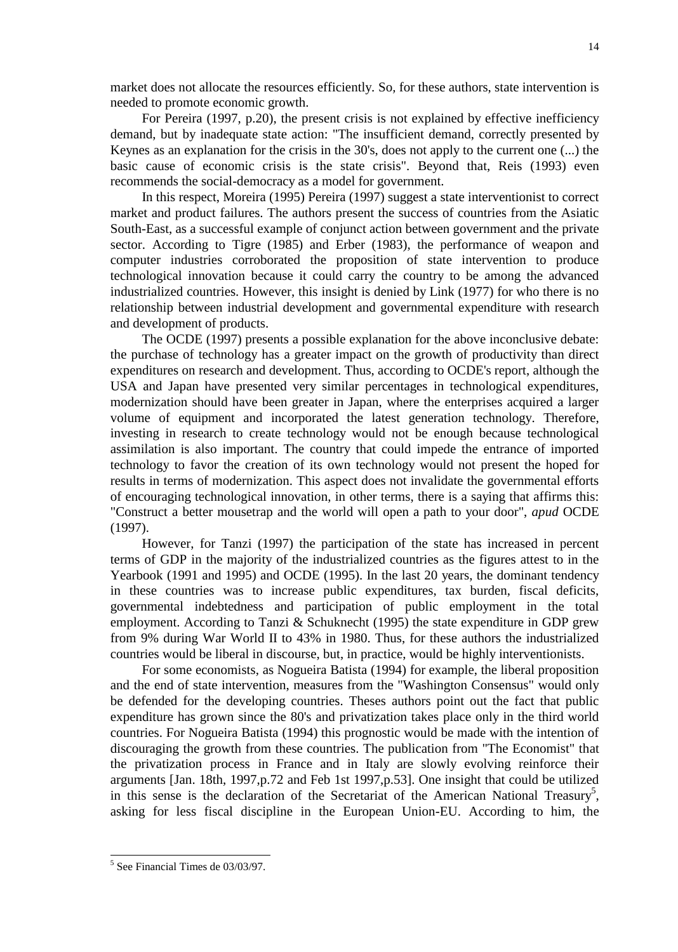market does not allocate the resources efficiently*.* So*,* for these authors, state intervention is needed to promote economic growth.

For Pereira (1997, p.20), the present crisis is not explained by effective inefficiency demand, but by inadequate state action: "The insufficient demand, correctly presented by Keynes as an explanation for the crisis in the 30's, does not apply to the current one (...) the basic cause of economic crisis is the state crisis". Beyond that, Reis (1993) even recommends the social-democracy as a model for government.

In this respect, Moreira (1995) Pereira (1997) suggest a state interventionist to correct market and product failures. The authors present the success of countries from the Asiatic South-East, as a successful example of conjunct action between government and the private sector. According to Tigre (1985) and Erber (1983), the performance of weapon and computer industries corroborated the proposition of state intervention to produce technological innovation because it could carry the country to be among the advanced industrialized countries. However, this insight is denied by Link (1977) for who there is no relationship between industrial development and governmental expenditure with research and development of products.

The OCDE (1997) presents a possible explanation for the above inconclusive debate: the purchase of technology has a greater impact on the growth of productivity than direct expenditures on research and development. Thus, according to OCDE's report, although the USA and Japan have presented very similar percentages in technological expenditures, modernization should have been greater in Japan, where the enterprises acquired a larger volume of equipment and incorporated the latest generation technology. Therefore, investing in research to create technology would not be enough because technological assimilation is also important. The country that could impede the entrance of imported technology to favor the creation of its own technology would not present the hoped for results in terms of modernization. This aspect does not invalidate the governmental efforts of encouraging technological innovation, in other terms, there is a saying that affirms this: "Construct a better mousetrap and the world will open a path to your door", *apud* OCDE (1997).

However, for Tanzi (1997) the participation of the state has increased in percent terms of GDP in the majority of the industrialized countries as the figures attest to in the Yearbook (1991 and 1995) and OCDE (1995). In the last 20 years, the dominant tendency in these countries was to increase public expenditures, tax burden, fiscal deficits, governmental indebtedness and participation of public employment in the total employment. According to Tanzi & Schuknecht (1995) the state expenditure in GDP grew from 9% during War World II to 43% in 1980. Thus, for these authors the industrialized countries would be liberal in discourse, but, in practice, would be highly interventionists.

For some economists, as Nogueira Batista (1994) for example, the liberal proposition and the end of state intervention, measures from the "Washington Consensus" would only be defended for the developing countries. Theses authors point out the fact that public expenditure has grown since the 80's and privatization takes place only in the third world countries. For Nogueira Batista (1994) this prognostic would be made with the intention of discouraging the growth from these countries. The publication from "The Economist" that the privatization process in France and in Italy are slowly evolving reinforce their arguments [Jan. 18th, 1997,p.72 and Feb 1st 1997,p.53]. One insight that could be utilized in this sense is the declaration of the Secretariat of the American National Treasury<sup>5</sup>, asking for less fiscal discipline in the European Union-EU. According to him, the

 5 See Financial Times de 03/03/97.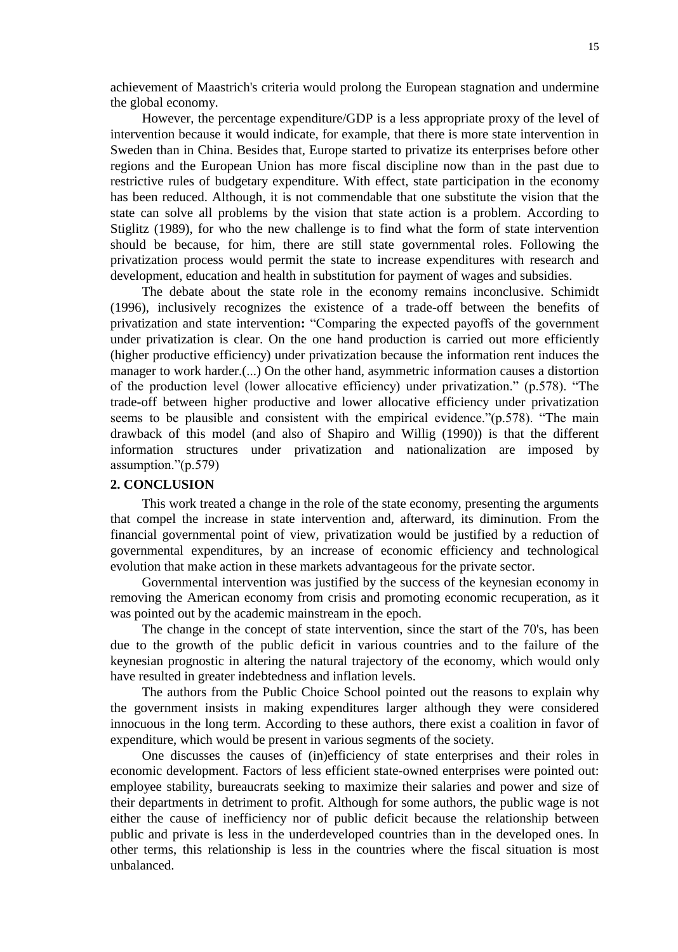achievement of Maastrich's criteria would prolong the European stagnation and undermine the global economy.

However, the percentage expenditure/GDP is a less appropriate proxy of the level of intervention because it would indicate, for example, that there is more state intervention in Sweden than in China. Besides that, Europe started to privatize its enterprises before other regions and the European Union has more fiscal discipline now than in the past due to restrictive rules of budgetary expenditure. With effect, state participation in the economy has been reduced. Although, it is not commendable that one substitute the vision that the state can solve all problems by the vision that state action is a problem. According to Stiglitz (1989), for who the new challenge is to find what the form of state intervention should be because, for him, there are still state governmental roles. Following the privatization process would permit the state to increase expenditures with research and development, education and health in substitution for payment of wages and subsidies.

The debate about the state role in the economy remains inconclusive. Schimidt (1996), inclusively recognizes the existence of a trade-off between the benefits of privatization and state intervention**:** "Comparing the expected payoffs of the government under privatization is clear. On the one hand production is carried out more efficiently (higher productive efficiency) under privatization because the information rent induces the manager to work harder.(...) On the other hand, asymmetric information causes a distortion of the production level (lower allocative efficiency) under privatization." (p.578). "The trade-off between higher productive and lower allocative efficiency under privatization seems to be plausible and consistent with the empirical evidence."(p.578). "The main drawback of this model (and also of Shapiro and Willig (1990)) is that the different information structures under privatization and nationalization are imposed by assumption."(p.579)

## **2. CONCLUSION**

This work treated a change in the role of the state economy, presenting the arguments that compel the increase in state intervention and, afterward, its diminution. From the financial governmental point of view, privatization would be justified by a reduction of governmental expenditures, by an increase of economic efficiency and technological evolution that make action in these markets advantageous for the private sector.

Governmental intervention was justified by the success of the keynesian economy in removing the American economy from crisis and promoting economic recuperation, as it was pointed out by the academic mainstream in the epoch.

The change in the concept of state intervention, since the start of the 70's, has been due to the growth of the public deficit in various countries and to the failure of the keynesian prognostic in altering the natural trajectory of the economy, which would only have resulted in greater indebtedness and inflation levels.

The authors from the Public Choice School pointed out the reasons to explain why the government insists in making expenditures larger although they were considered innocuous in the long term. According to these authors, there exist a coalition in favor of expenditure, which would be present in various segments of the society.

One discusses the causes of (in)efficiency of state enterprises and their roles in economic development. Factors of less efficient state-owned enterprises were pointed out: employee stability, bureaucrats seeking to maximize their salaries and power and size of their departments in detriment to profit. Although for some authors, the public wage is not either the cause of inefficiency nor of public deficit because the relationship between public and private is less in the underdeveloped countries than in the developed ones. In other terms, this relationship is less in the countries where the fiscal situation is most unbalanced.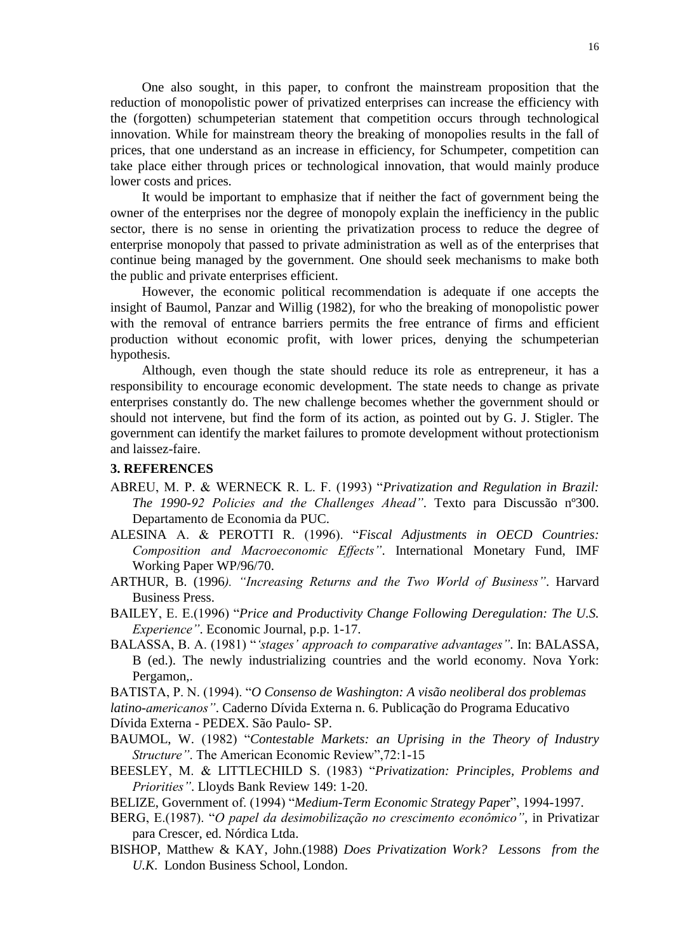One also sought, in this paper, to confront the mainstream proposition that the reduction of monopolistic power of privatized enterprises can increase the efficiency with the (forgotten) schumpeterian statement that competition occurs through technological innovation. While for mainstream theory the breaking of monopolies results in the fall of prices, that one understand as an increase in efficiency, for Schumpeter, competition can take place either through prices or technological innovation, that would mainly produce lower costs and prices.

It would be important to emphasize that if neither the fact of government being the owner of the enterprises nor the degree of monopoly explain the inefficiency in the public sector, there is no sense in orienting the privatization process to reduce the degree of enterprise monopoly that passed to private administration as well as of the enterprises that continue being managed by the government. One should seek mechanisms to make both the public and private enterprises efficient.

However, the economic political recommendation is adequate if one accepts the insight of Baumol, Panzar and Willig (1982), for who the breaking of monopolistic power with the removal of entrance barriers permits the free entrance of firms and efficient production without economic profit, with lower prices, denying the schumpeterian hypothesis.

Although, even though the state should reduce its role as entrepreneur, it has a responsibility to encourage economic development. The state needs to change as private enterprises constantly do. The new challenge becomes whether the government should or should not intervene, but find the form of its action, as pointed out by G. J. Stigler. The government can identify the market failures to promote development without protectionism and laissez-faire.

# **3. REFERENCES**

- ABREU, M. P. & WERNECK R. L. F. (1993) "*Privatization and Regulation in Brazil: The 1990-92 Policies and the Challenges Ahead"*. Texto para Discussão nº300. Departamento de Economia da PUC.
- ALESINA A. & PEROTTI R. (1996). "*Fiscal Adjustments in OECD Countries: Composition and Macroeconomic Effects"*. International Monetary Fund, IMF Working Paper WP/96/70.
- ARTHUR, B. (1996*). "Increasing Returns and the Two World of Business"*. Harvard Business Press.
- BAILEY, E. E.(1996) "*Price and Productivity Change Following Deregulation: The U.S. Experience"*. Economic Journal, p.p. 1-17.
- BALASSA, B. A. (1981) "*"stages" approach to comparative advantages"*. In: BALASSA, B (ed.). The newly industrializing countries and the world economy. Nova York: Pergamon,.
- BATISTA, P. N. (1994). "*O Consenso de Washington: A visão neoliberal dos problemas*

*latino-americanos"*. Caderno Dívida Externa n. 6. Publicação do Programa Educativo

Dívida Externa - PEDEX. São Paulo- SP.

- BAUMOL, W. (1982) "*Contestable Markets: an Uprising in the Theory of Industry Structure"*. The American Economic Review",72:1-15
- BEESLEY, M. & LITTLECHILD S. (1983) "*Privatization: Principles, Problems and Priorities"*. Lloyds Bank Review 149: 1-20.
- BELIZE, Government of. (1994) "*Medium-Term Economic Strategy Pape*r", 1994-1997.
- BERG, E.(1987). "*O papel da desimobilização no crescimento econômico"*, in Privatizar para Crescer, ed. Nórdica Ltda.
- BISHOP, Matthew & KAY, John.(1988) *Does Privatization Work? Lessons from the U.K*. London Business School, London.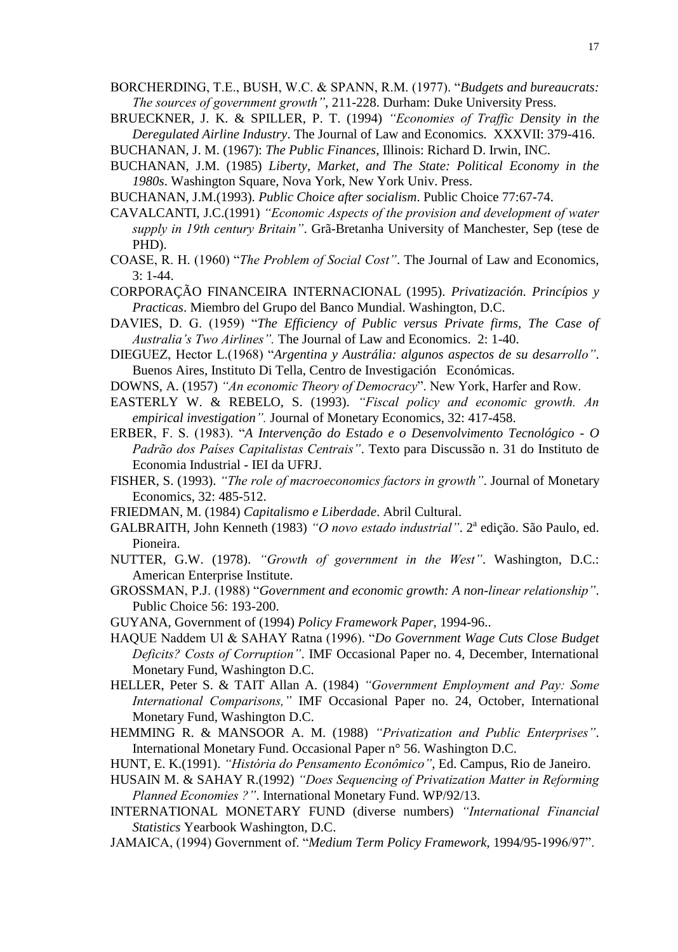- BORCHERDING, T.E., BUSH, W.C. & SPANN, R.M. (1977). "*Budgets and bureaucrats: The sources of government growth"*, 211-228. Durham: Duke University Press.
- BRUECKNER, J. K. & SPILLER, P. T. (1994) *"Economies of Traffic Density in the Deregulated Airline Industry*. The Journal of Law and Economics. XXXVII: 379-416.

BUCHANAN, J. M. (1967): *The Public Finances*, Illinois: Richard D. Irwin, INC.

- BUCHANAN, J.M. (1985) *Liberty, Market, and The State: Political Economy in the 1980s*. Washington Square, Nova York, New York Univ. Press.
- BUCHANAN, J.M.(1993). *Public Choice after socialism*. Public Choice 77:67-74.
- CAVALCANTI, J.C.(1991) *"Economic Aspects of the provision and development of water supply in 19th century Britain"*. Grã-Bretanha University of Manchester, Sep (tese de PHD).
- COASE, R. H. (1960) "*The Problem of Social Cost"*. The Journal of Law and Economics, 3: 1-44.
- CORPORAÇÃO FINANCEIRA INTERNACIONAL (1995). *Privatización. Princípios y Practicas*. Miembro del Grupo del Banco Mundial. Washington, D.C.
- DAVIES, D. G. (1959) "*The Efficiency of Public versus Private firms, The Case of Australia"s Two Airlines".* The Journal of Law and Economics. 2: 1-40.
- DIEGUEZ, Hector L.(1968) "*Argentina y Austrália: algunos aspectos de su desarrollo"*. Buenos Aires, Instituto Di Tella, Centro de Investigación Económicas.
- DOWNS, A. (1957) *"An economic Theory of Democracy*". New York, Harfer and Row.
- EASTERLY W. & REBELO, S. (1993). *"Fiscal policy and economic growth. An empirical investigation".* Journal of Monetary Economics, 32: 417-458.
- ERBER, F. S. (1983). "*A Intervenção do Estado e o Desenvolvimento Tecnológico - O Padrão dos Países Capitalistas Centrais"*. Texto para Discussão n. 31 do Instituto de Economia Industrial - IEI da UFRJ.
- FISHER, S. (1993). *"The role of macroeconomics factors in growth"*. Journal of Monetary Economics, 32: 485-512.
- FRIEDMAN, M. (1984) *Capitalismo e Liberdade*. Abril Cultural.
- GALBRAITH, John Kenneth (1983) "O novo estado industrial". 2<sup>ª</sup> edição. São Paulo, ed. Pioneira.
- NUTTER, G.W. (1978). *"Growth of government in the West"*. Washington, D.C.: American Enterprise Institute.
- GROSSMAN, P.J. (1988) "*Government and economic growth: A non-linear relationship"*. Public Choice 56: 193-200.
- GUYANA, Government of (1994) *Policy Framework Paper*, 1994-96..
- HAQUE Naddem Ul & SAHAY Ratna (1996). "*Do Government Wage Cuts Close Budget Deficits? Costs of Corruption"*. IMF Occasional Paper no. 4, December, International Monetary Fund, Washington D.C.
- HELLER, Peter S. & TAIT Allan A. (1984) *"Government Employment and Pay: Some International Comparisons,"* IMF Occasional Paper no. 24, October, International Monetary Fund, Washington D.C.
- HEMMING R. & MANSOOR A. M. (1988) *"Privatization and Public Enterprises"*. International Monetary Fund. Occasional Paper n° 56. Washington D.C.
- HUNT, E. K.(1991). *"História do Pensamento Econômico"*, Ed. Campus, Rio de Janeiro.
- HUSAIN M. & SAHAY R.(1992) *"Does Sequencing of Privatization Matter in Reforming Planned Economies ?"*. International Monetary Fund. WP/92/13.
- INTERNATIONAL MONETARY FUND (diverse numbers) *"International Financial Statistics* Yearbook Washington, D.C.
- JAMAICA, (1994) Government of. "*Medium Term Policy Framework*, 1994/95-1996/97".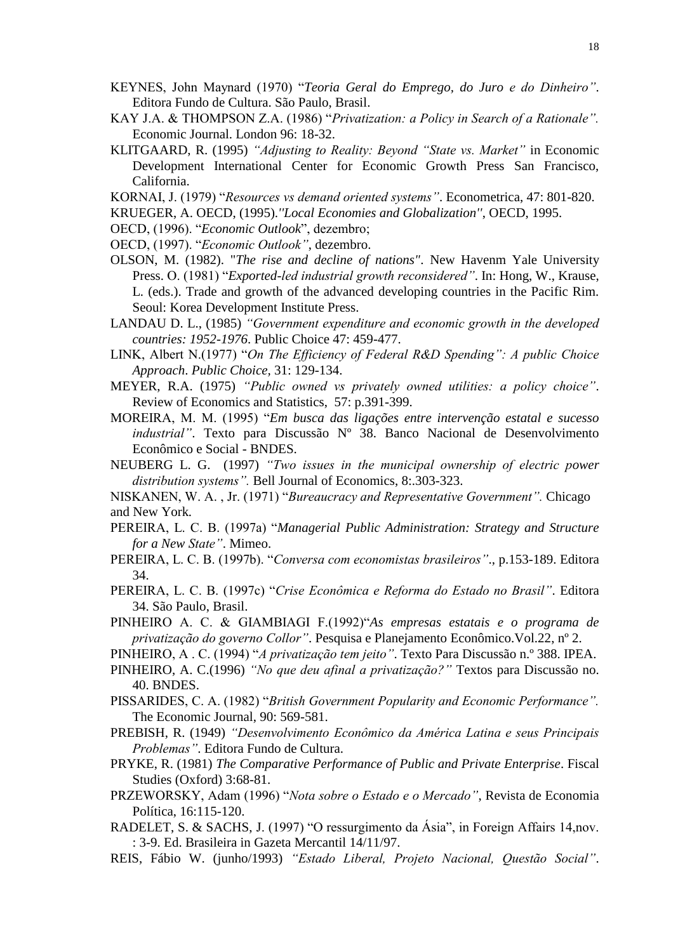- KEYNES, John Maynard (1970) "*Teoria Geral do Emprego, do Juro e do Dinheiro"*. Editora Fundo de Cultura. São Paulo, Brasil.
- KAY J.A. & THOMPSON Z.A. (1986) "*Privatization: a Policy in Search of a Rationale".* Economic Journal. London 96: 18-32.
- KLITGAARD, R. (1995) *"Adjusting to Reality: Beyond "State vs. Market"* in Economic Development International Center for Economic Growth Press San Francisco, California.
- KORNAI, J. (1979) "*Resources vs demand oriented systems"*. Econometrica, 47: 801-820.
- KRUEGER, A. OECD, (1995).*''Local Economies and Globalization''*, OECD, 1995.
- OECD, (1996). "*Economic Outlook*", dezembro;
- OECD, (1997). "*Economic Outlook"*, dezembro.
- OLSON, M. (1982). "*The rise and decline of nations"*. New Havenm Yale University Press. O. (1981) "*Exported-led industrial growth reconsidered"*. In: Hong, W., Krause, L. (eds.). Trade and growth of the advanced developing countries in the Pacific Rim. Seoul: Korea Development Institute Press.
- LANDAU D. L., (1985) *"Government expenditure and economic growth in the developed countries: 1952-1976*. Public Choice 47: 459-477.
- LINK, Albert N.(1977) "*On The Efficiency of Federal R&D Spending": A public Choice Approach*. *Public Choice,* 31: 129-134.
- MEYER, R.A. (1975) *"Public owned vs privately owned utilities: a policy choice"*. Review of Economics and Statistics, 57: p.391-399.
- MOREIRA, M. M. (1995) "*Em busca das ligações entre intervenção estatal e sucesso industrial"*. Texto para Discussão Nº 38. Banco Nacional de Desenvolvimento Econômico e Social - BNDES.
- NEUBERG L. G. (1997) *"Two issues in the municipal ownership of electric power distribution systems".* Bell Journal of Economics, 8:.303-323.
- NISKANEN, W. A. , Jr. (1971) "*Bureaucracy and Representative Government".* Chicago and New York*.*
- PEREIRA, L. C. B. (1997a) "*Managerial Public Administration: Strategy and Structure for a New State"*. Mimeo.
- PEREIRA, L. C. B. (1997b). "*Conversa com economistas brasileiros"*., p.153-189. Editora 34.
- PEREIRA, L. C. B. (1997c) "*Crise Econômica e Reforma do Estado no Brasil"*. Editora 34. São Paulo, Brasil.
- PINHEIRO A. C. & GIAMBIAGI F.(1992)"*As empresas estatais e o programa de privatização do governo Collor"*. Pesquisa e Planejamento Econômico.Vol.22, nº 2.
- PINHEIRO, A . C. (1994) "*A privatização tem jeito"*. Texto Para Discussão n.º 388. IPEA.
- PINHEIRO, A. C.(1996) *"No que deu afinal a privatização?"* Textos para Discussão no. 40. BNDES.
- PISSARIDES, C. A. (1982) "*British Government Popularity and Economic Performance".* The Economic Journal, 90: 569-581.
- PREBISH, R. (1949) *"Desenvolvimento Econômico da América Latina e seus Principais Problemas"*. Editora Fundo de Cultura.
- PRYKE, R. (1981) *The Comparative Performance of Public and Private Enterprise*. Fiscal Studies (Oxford) 3:68-81.
- PRZEWORSKY, Adam (1996) "*Nota sobre o Estado e o Mercado"*, Revista de Economia Política, 16:115-120.
- RADELET, S. & SACHS, J. (1997) "O ressurgimento da Ásia", in Foreign Affairs 14,nov. : 3-9. Ed. Brasileira in Gazeta Mercantil 14/11/97.
- REIS, Fábio W. (junho/1993) *"Estado Liberal, Projeto Nacional, Questão Social"*.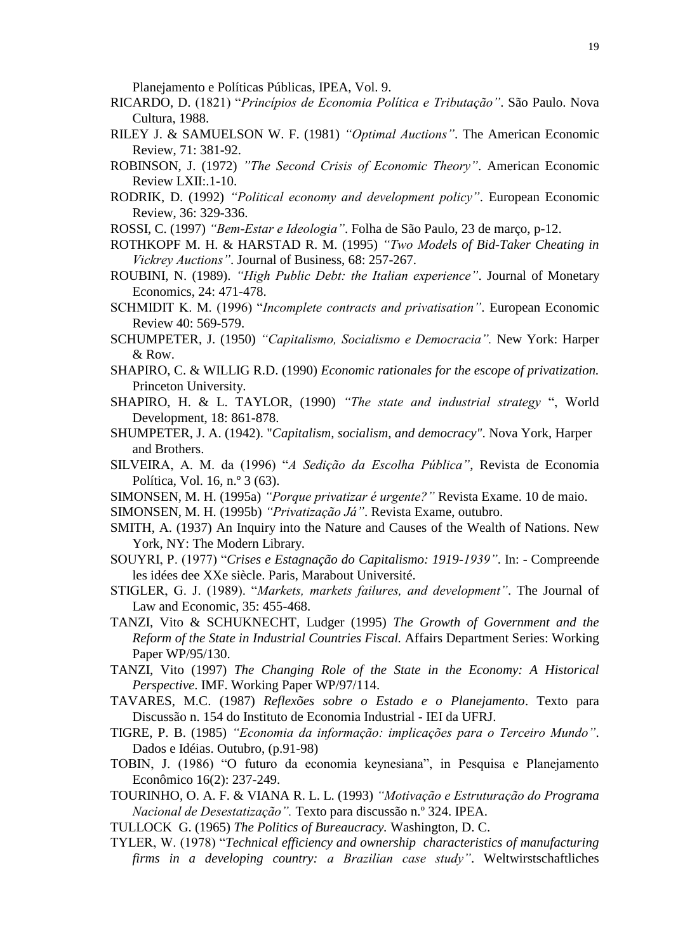Planejamento e Políticas Públicas, IPEA, Vol. 9.

- RICARDO, D. (1821) "*Princípios de Economia Política e Tributação"*. São Paulo. Nova Cultura, 1988.
- RILEY J. & SAMUELSON W. F. (1981) *"Optimal Auctions"*. The American Economic Review, 71: 381-92.
- ROBINSON, J. (1972) *"The Second Crisis of Economic Theory"*. American Economic Review LXII:.1-10.
- RODRIK, D. (1992) *"Political economy and development policy"*. European Economic Review, 36: 329-336.
- ROSSI, C. (1997) *"Bem-Estar e Ideologia"*. Folha de São Paulo, 23 de março, p-12.
- ROTHKOPF M. H. & HARSTAD R. M. (1995) *"Two Models of Bid-Taker Cheating in Vickrey Auctions"*. Journal of Business, 68: 257-267.
- ROUBINI, N. (1989). *"High Public Debt: the Italian experience"*. Journal of Monetary Economics, 24: 471-478.
- SCHMIDIT K. M. (1996) "*Incomplete contracts and privatisation"*. European Economic Review 40: 569-579.
- SCHUMPETER, J. (1950) *"Capitalismo, Socialismo e Democracia".* New York: Harper & Row.
- SHAPIRO, C. & WILLIG R.D. (1990) *Economic rationales for the escope of privatization.* Princeton University.
- SHAPIRO, H. & L. TAYLOR, (1990) *"The state and industrial strategy* ", World Development, 18: 861-878.
- SHUMPETER, J. A. (1942). "*Capitalism, socialism, and democracy"*. Nova York, Harper and Brothers.
- SILVEIRA, A. M. da (1996) "*A Sedição da Escolha Pública"*, Revista de Economia Política, Vol. 16, n.º 3 (63).
- SIMONSEN, M. H. (1995a) *"Porque privatizar é urgente?"* Revista Exame. 10 de maio.
- SIMONSEN, M. H. (1995b) *"Privatização Já"*. Revista Exame, outubro.
- SMITH, A. (1937) An Inquiry into the Nature and Causes of the Wealth of Nations. New York, NY: The Modern Library.
- SOUYRI, P. (1977) "*Crises e Estagnação do Capitalismo: 1919-1939"*. In: Compreende les idées dee XXe siècle. Paris, Marabout Université.
- STIGLER, G. J. (1989). "*Markets, markets failures, and development"*. The Journal of Law and Economic, 35: 455-468.
- TANZI, Vito & SCHUKNECHT, Ludger (1995) *The Growth of Government and the Reform of the State in Industrial Countries Fiscal.* Affairs Department Series: Working Paper WP/95/130.
- TANZI, Vito (1997) *The Changing Role of the State in the Economy: A Historical Perspective*. IMF. Working Paper WP/97/114.
- TAVARES, M.C. (1987) *Reflexões sobre o Estado e o Planejamento*. Texto para Discussão n. 154 do Instituto de Economia Industrial - IEI da UFRJ.
- TIGRE, P. B. (1985) *"Economia da informação: implicações para o Terceiro Mundo"*. Dados e Idéias. Outubro, (p.91-98)
- TOBIN, J. (1986) "O futuro da economia keynesiana", in Pesquisa e Planejamento Econômico 16(2): 237-249.
- TOURINHO, O. A. F. & VIANA R. L. L. (1993) *"Motivação e Estruturação do Programa Nacional de Desestatização".* Texto para discussão n.º 324. IPEA.
- TULLOCK G. (1965) *The Politics of Bureaucracy.* Washington, D. C.
- TYLER, W. (1978) "*Technical efficiency and ownership characteristics of manufacturing firms in a developing country: a Brazilian case study"*. Weltwirstschaftliches